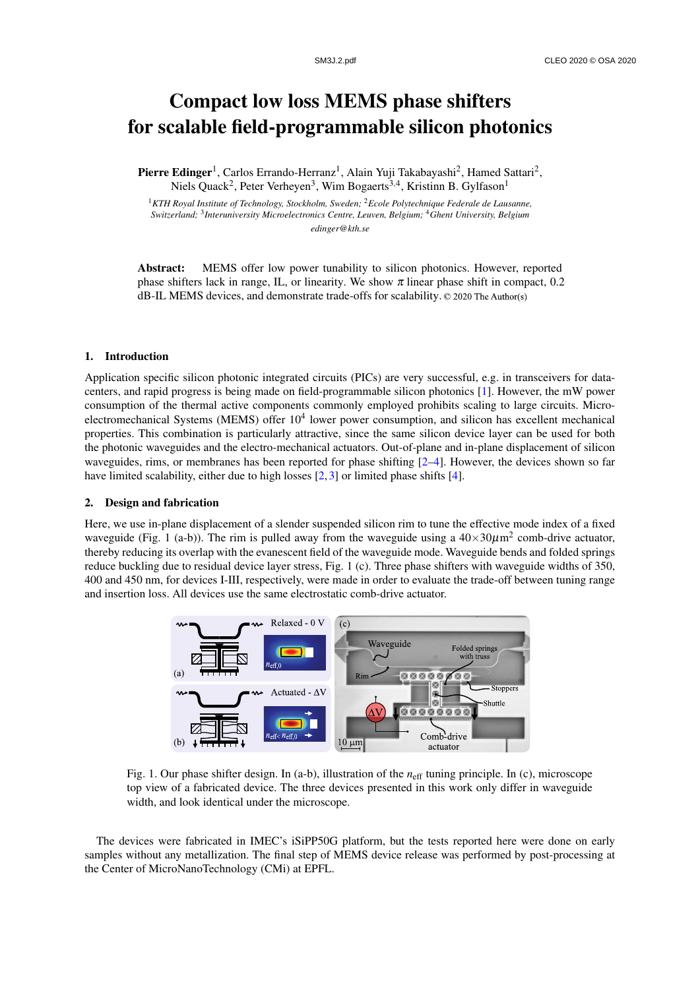# Compact low loss MEMS phase shifters for scalable field-programmable silicon photonics

Pierre Edinger<sup>1</sup>, Carlos Errando-Herranz<sup>1</sup>, Alain Yuji Takabayashi<sup>2</sup>, Hamed Sattari<sup>2</sup>, Niels Quack<sup>2</sup>, Peter Verheyen<sup>3</sup>, Wim Bogaerts<sup>3,4</sup>, Kristinn B. Gylfason<sup>1</sup>

<sup>1</sup>*KTH Royal Institute of Technology, Stockholm, Sweden;* <sup>2</sup>*Ecole Polytechnique Federale de Lausanne, Switzerland;* <sup>3</sup> *Interuniversity Microelectronics Centre, Leuven, Belgium;* <sup>4</sup>*Ghent University, Belgium edinger@kth.se*

Abstract: MEMS offer low power tunability to silicon photonics. However, reported phase shifters lack in range, IL, or linearity. We show  $\pi$  linear phase shift in compact, 0.2 dB-IL MEMS devices, and demonstrate trade-offs for scalability. ©2020TheAuthor(s)

## 1. Introduction

Application specific silicon photonic integrated circuits (PICs) are very successful, e.g. in transceivers for datacenters, and rapid progress is being made on field-programmable silicon photonics [1]. However, the mW power consumption of the thermal active components commonly employed prohibits scaling to large circuits. Microelectromechanical Systems (MEMS) offer  $10^4$  lower power consumption, and silicon has excellent mechanical properties. This combination is particularly attractive, since the same silicon device layer can be used for both the photonic waveguides and the electro-mechanical actuators. Out-of-plane and in-plane displacement of silicon waveguides, rims, or membranes has been reported for phase shifting [2–4]. However, the devices shown so far have limited scalability, either due to high losses [2, 3] or limited phase shifts [4].

#### 2. Design and fabrication

Here, we use in-plane displacement of a slender suspended silicon rim to tune the effective mode index of a fixed waveguide (Fig. 1 (a-b)). The rim is pulled away from the waveguide using a  $40\times30\mu$ m<sup>2</sup> comb-drive actuator, thereby reducing its overlap with the evanescent field of the waveguide mode. Waveguide bends and folded springs reduce buckling due to residual device layer stress, Fig. 1 (c). Three phase shifters with waveguide widths of 350, 400 and 450 nm, for devices I-III, respectively, were made in order to evaluate the trade-off between tuning range and insertion loss. All devices use the same electrostatic comb-drive actuator.



Fig. 1. Our phase shifter design. In (a-b), illustration of the *n*eff tuning principle. In (c), microscope top view of a fabricated device. The three devices presented in this work only differ in waveguide width, and look identical under the microscope.

The devices were fabricated in IMEC's iSiPP50G platform, but the tests reported here were done on early samples without any metallization. The final step of MEMS device release was performed by post-processing at the Center of MicroNanoTechnology (CMi) at EPFL.